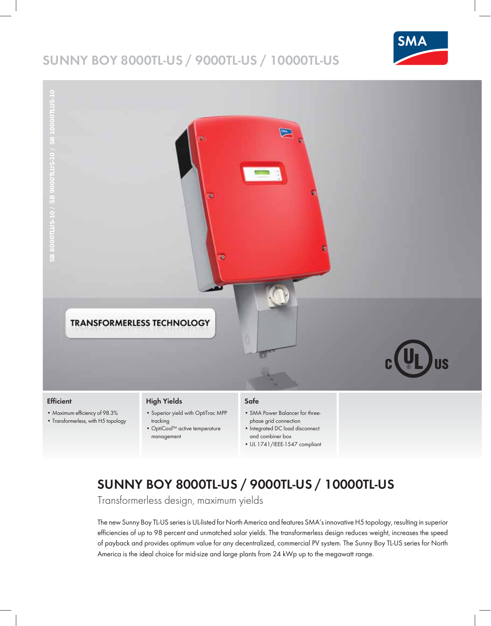# **SUNNY BOY 8000TL-US / 9000TL-US / 10000TL-US**





#### **Efficient**

- Maximum efficiency of 98.3%
- Transformerless, with H5 topology

### **High Yields**

- Superior yield with OptiTrac MPP tracking • OptiCool™ active temperature
- management

## **Safe**

- SMA Power Balancer for threephase grid connection
- Integrated DC load disconnect and combiner box
- UL 1741/IEEE-1547 compliant

# **SUNNY BOY 8000TL-US / 9000TL-US / 10000TL-US**

Transformerless design, maximum yields

The new Sunny Boy TL-US series is UL-listed for North America and features SMA's innovative H5 topology, resulting in superior efficiencies of up to 98 percent and unmatched solar yields. The transformerless design reduces weight, increases the speed of payback and provides optimum value for any decentralized, commercial PV system. The Sunny Boy TL-US series for North America is the ideal choice for mid-size and large plants from 24 kWp up to the megawatt range.